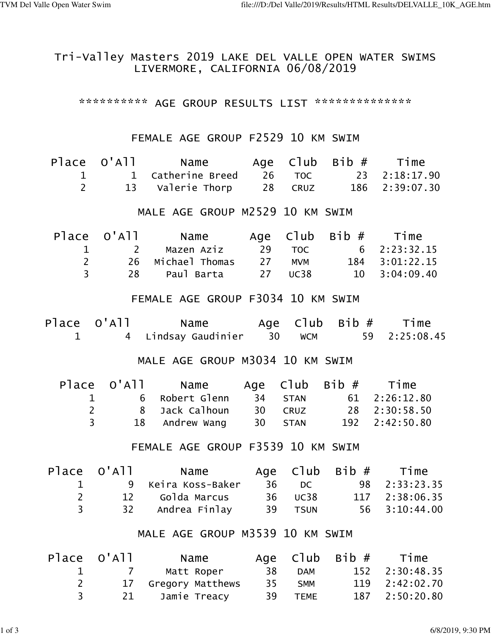## Tri-Valley Masters 2019 LAKE DEL VALLE OPEN WATER SWIMS LIVERMORE, CALIFORNIA 06/08/2019

\*\*\*\*\*\*\*\*\*\*\* AGE GROUP RESULTS LIST \*\*\*\*\*\*\*\*\*\*\*\*\*\*\*

## FEMALE AGE GROUP F2529 10 KM SWIM

|                                   | Place O'All Name Age Club Bib # Time |                                                                                                                      |     |                                          |      |            |  |  |
|-----------------------------------|--------------------------------------|----------------------------------------------------------------------------------------------------------------------|-----|------------------------------------------|------|------------|--|--|
| $\mathbf{1}$                      |                                      | 1 Catherine Breed 26 TOC 23 2:18:17.90                                                                               |     |                                          |      |            |  |  |
| $\overline{2}$                    |                                      | 13 Valerie Thorp 28 CRUZ 186 2:39:07.30                                                                              |     |                                          |      |            |  |  |
|                                   |                                      |                                                                                                                      |     |                                          |      |            |  |  |
|                                   |                                      | MALE AGE GROUP M2529 10 KM SWIM                                                                                      |     |                                          |      |            |  |  |
|                                   |                                      | Place O'All Name Age Club Bib # Time                                                                                 |     |                                          |      |            |  |  |
| 1                                 |                                      | 2 Mazen Aziz 29 TOC 6 2:23:32.15                                                                                     |     |                                          |      |            |  |  |
| $\overline{2}$                    |                                      |                                                                                                                      |     |                                          |      |            |  |  |
| $\overline{3}$                    |                                      | 26   Michael Thomas     27    MVM        184   3:01:22.15<br>28     Paul Barta       27   UC38       10   3:04:09.40 |     |                                          |      |            |  |  |
|                                   |                                      |                                                                                                                      |     |                                          |      |            |  |  |
|                                   |                                      | FEMALE AGE GROUP F3034 10 KM SWIM                                                                                    |     |                                          |      |            |  |  |
|                                   |                                      | Place O'All Mame Age Club Bib # Time                                                                                 |     |                                          |      |            |  |  |
| $\mathbf 1$                       |                                      |                                                                                                                      |     | 4 Lindsay Gaudinier 30 WCM 59 2:25:08.45 |      |            |  |  |
|                                   |                                      |                                                                                                                      |     |                                          |      |            |  |  |
|                                   |                                      | MALE AGE GROUP M3034 10 KM SWIM                                                                                      |     |                                          |      |            |  |  |
|                                   |                                      | Place O'All Name Age Club Bib # Time                                                                                 |     |                                          |      |            |  |  |
|                                   | $\mathbf 1$                          | 6 Robert Glenn 34 STAN 61 2:26:12.80                                                                                 |     |                                          |      |            |  |  |
|                                   | $2^{\circ}$                          | 8 Jack Calhoun 30 CRUZ 28 2:30:58.50                                                                                 |     |                                          |      |            |  |  |
|                                   | $\overline{3}$                       | 18 Andrew Wang 30 STAN 192 2:42:50.80                                                                                |     |                                          |      |            |  |  |
|                                   |                                      |                                                                                                                      |     |                                          |      |            |  |  |
| FEMALE AGE GROUP F3539 10 KM SWIM |                                      |                                                                                                                      |     |                                          |      |            |  |  |
|                                   |                                      | Place O'All Mame Age Club Bib # Time                                                                                 |     |                                          |      |            |  |  |
| $\mathbf 1$                       |                                      | 9 Keira Koss-Baker 36 DC 98 2:33:23.35                                                                               |     |                                          |      |            |  |  |
| $\overline{2}$                    |                                      | 12 Golda Marcus 36 UC38 117 2:38:06.35                                                                               |     |                                          |      |            |  |  |
| $\overline{3}$                    |                                      | 32 Andrea Finlay 39 TSUN 56                                                                                          |     |                                          |      | 3:10:44.00 |  |  |
|                                   |                                      |                                                                                                                      |     |                                          |      |            |  |  |
|                                   |                                      | MALE AGE GROUP M3539 10 KM SWIM                                                                                      |     |                                          |      |            |  |  |
| Place                             | 0'A11                                | Name                                                                                                                 | Age | C1ub                                     | Bib# | Time       |  |  |
| 1                                 | $\overline{7}$                       | Matt Roper                                                                                                           | 38  | <b>DAM</b>                               | 152  | 2:30:48.35 |  |  |
| $\overline{2}$                    | 17                                   | Gregory Matthews                                                                                                     | 35  | <b>SMM</b>                               | 119  | 2:42:02.70 |  |  |

3 21 Jamie Treacy 39 TEME 187 2:50:20.80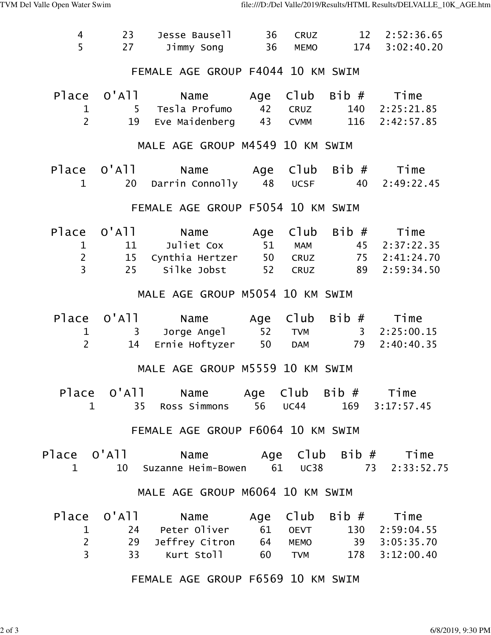| 4<br>5                                           | 23<br>27         | Jesse Bausell<br>Jimmy Song 36 MEMO 174 3:02:40.20                                                                                                               | 36 |  |  | CRUZ 12 2:52:36.65    |  |  |
|--------------------------------------------------|------------------|------------------------------------------------------------------------------------------------------------------------------------------------------------------|----|--|--|-----------------------|--|--|
|                                                  |                  | FEMALE AGE GROUP F4044 10 KM SWIM                                                                                                                                |    |  |  |                       |  |  |
| $\mathbf 1$<br>$\overline{2}$                    |                  | Place O'All Name Age Club Bib # Time<br>5 Tesla Profumo     42   CRUZ<br>19 Eve Maidenberg 43 CVMM 116 2:42:57.85                                                |    |  |  | 140 2:25:21.85        |  |  |
| MALE AGE GROUP M4549 10 KM SWIM                  |                  |                                                                                                                                                                  |    |  |  |                       |  |  |
| 1                                                |                  | Place O'All Name Age Club Bib # Time<br>20 Darrin Connolly 48 UCSF 40 2:49:22.45                                                                                 |    |  |  |                       |  |  |
|                                                  |                  | FEMALE AGE GROUP F5054 10 KM SWIM                                                                                                                                |    |  |  |                       |  |  |
| $\mathbf 1$<br>$\overline{2}$<br>$\overline{3}$  | 25               | Place O'All Name Age Club Bib # Time<br>11 Juliet Cox 51 MAM 45 2:37:22.35<br>15 Cynthia Hertzer 50 CRUZ 75 2:41:24.70<br>Silke Jobst                            |    |  |  | 52 CRUZ 89 2:59:34.50 |  |  |
|                                                  |                  | MALE AGE GROUP M5054 10 KM SWIM                                                                                                                                  |    |  |  |                       |  |  |
| $\mathbf 1$<br>$2^{\circ}$                       |                  | Place O'All Name Age Club Bib # Time<br>3 Jorge Angel 52 TVM 3 2:25:00.15<br>14 Ernie Hoftyzer 50 DAM 79 2:40:40.35                                              |    |  |  |                       |  |  |
|                                                  |                  | MALE AGE GROUP M5559 10 KM SWIM                                                                                                                                  |    |  |  |                       |  |  |
|                                                  | $1 \quad \cdots$ | Place O'All Name Age Club Bib # Time<br>35 Ross Simmons 56 UC44 169 3:17:57.45                                                                                   |    |  |  |                       |  |  |
|                                                  |                  | FEMALE AGE GROUP F6064 10 KM SWIM                                                                                                                                |    |  |  |                       |  |  |
| $\mathbf{1}$                                     |                  | Place O'All Mame Age Club Bib # Time<br>10 Suzanne Heim-Bowen 61 UC38 73 2:33:52.75                                                                              |    |  |  |                       |  |  |
|                                                  |                  | MALE AGE GROUP M6064 10 KM SWIM                                                                                                                                  |    |  |  |                       |  |  |
| $\mathbf{1}$<br>$\overline{2}$<br>$\overline{3}$ |                  | Place O'All Name Age Club Bib # Time<br>24 Peter Oliver 61 OEVT 130 2:59:04.55<br>29 Jeffrey Citron 64 MEMO 39 3:05:35.70<br>33 Kurt Stoll 60 TVM 178 3:12:00.40 |    |  |  |                       |  |  |
|                                                  |                  | FEMALE AGE GROUP F6569 10 KM SWIM                                                                                                                                |    |  |  |                       |  |  |